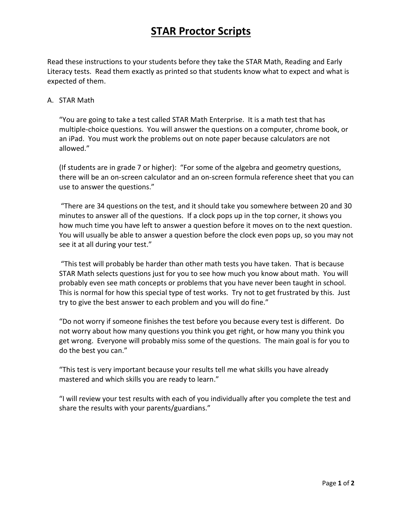## **STAR Proctor Scripts**

Read these instructions to your students before they take the STAR Math, Reading and Early Literacy tests. Read them exactly as printed so that students know what to expect and what is expected of them.

### A. STAR Math

"You are going to take a test called STAR Math Enterprise. It is a math test that has multiple-choice questions. You will answer the questions on a computer, chrome book, or an iPad. You must work the problems out on note paper because calculators are not allowed."

(If students are in grade 7 or higher): "For some of the algebra and geometry questions, there will be an on-screen calculator and an on-screen formula reference sheet that you can use to answer the questions."

"There are 34 questions on the test, and it should take you somewhere between 20 and 30 minutes to answer all of the questions. If a clock pops up in the top corner, it shows you how much time you have left to answer a question before it moves on to the next question. You will usually be able to answer a question before the clock even pops up, so you may not see it at all during your test."

"This test will probably be harder than other math tests you have taken. That is because STAR Math selects questions just for you to see how much you know about math. You will probably even see math concepts or problems that you have never been taught in school. This is normal for how this special type of test works. Try not to get frustrated by this. Just try to give the best answer to each problem and you will do fine."

"Do not worry if someone finishes the test before you because every test is different. Do not worry about how many questions you think you get right, or how many you think you get wrong. Everyone will probably miss some of the questions. The main goal is for you to do the best you can."

"This test is very important because your results tell me what skills you have already mastered and which skills you are ready to learn."

"I will review your test results with each of you individually after you complete the test and share the results with your parents/guardians."